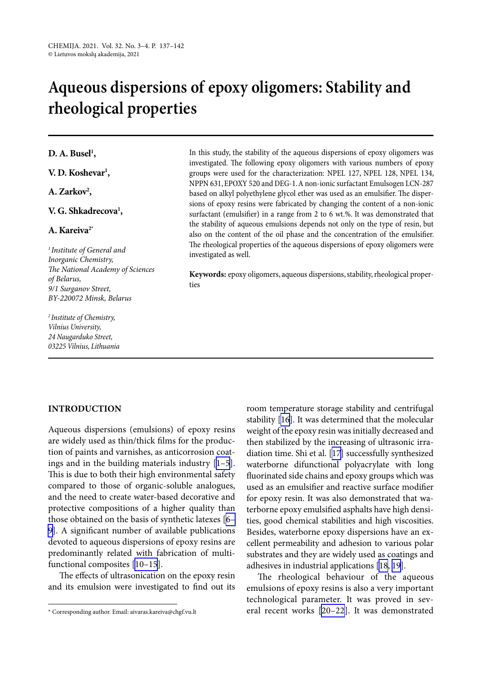# **Aqueous dispersions of epoxy oligomers: Stability and rheological properties**

## **D. A. Busel1 ,**

**V. D. Koshevar1 ,**

## A. Zarkov<sup>2</sup>,

## **V. G. Shkadrecova1 ,**

### **A. Kareiva2\***

*<sup>1</sup> Institute of General and Inorganic Chemistry, The National Academy of Sciences of Belarus, 9/1 Surganov Street, BY-220072 Minsk, Belarus*

*2 Institute of Chemistry, Vilnius University, 24 Naugarduko Street, 03225 Vilnius, Lithuania* In this study, the stability of the aqueous dispersions of epoxy oligomers was investigated. The following epoxy oligomers with various numbers of epoxy groups were used for the characterization: NPEL 127, NPEL 128, NPEL 134, NPPN 631, EPOXY 520 and DEG-1. A non-ionic surfactant Emulsogen LCN-287 based on alkyl polyethylene glycol ether was used as an emulsifier. The dispersions of epoxy resins were fabricated by changing the content of a non-ionic surfactant (emulsifier) in a range from 2 to 6 wt.%. It was demonstrated that the stability of aqueous emulsions depends not only on the type of resin, but also on the content of the oil phase and the concentration of the emulsifier. The rheological properties of the aqueous dispersions of epoxy oligomers were investigated as well.

**Keywords:** epoxy oligomers, aqueous dispersions, stability, rheological properties

#### **INTRODUCTION**

Aqueous dispersions (emulsions) of epoxy resins are widely used as thin/thick films for the production of paints and varnishes, as anticorrosion coatings and in the building materials industry [\[1–5](#page-4-0)]. This is due to both their high environmental safety compared to those of organic-soluble analogues, and the need to create water-based decorative and protective compositions of a higher quality than those obtained on the basis of synthetic latexes [\[6–](#page-4-1) [9\]](#page-4-1). A significant number of available publications devoted to aqueous dispersions of epoxy resins are predominantly related with fabrication of multifunctional composites [\[10–15](#page-4-2)].

The effects of ultrasonication on the epoxy resin and its emulsion were investigated to find out its room temperature storage stability and centrifugal stability [[16\]](#page-4-3). It was determined that the molecular weight of the epoxy resin was initially decreased and then stabilized by the increasing of ultrasonic irradiation time. Shi et al. [[17](#page-4-4)] successfully synthesized waterborne difunctional polyacrylate with long fluorinated side chains and epoxy groups which was used as an emulsifier and reactive surface modifier for epoxy resin. It was also demonstrated that waterborne epoxy emulsified asphalts have high densities, good chemical stabilities and high viscosities. Besides, waterborne epoxy dispersions have an excellent permeability and adhesion to various polar substrates and they are widely used as coatings and adhesives in industrial applications [\[18](#page-4-5), [19](#page-4-6)].

The rheological behaviour of the aqueous emulsions of epoxy resins is also a very important technological parameter. It was proved in several recent works [[20–22](#page-4-7)]. It was demonstrated

<sup>\*</sup> Corresponding author. Email: aivaras.kareiva@chgf.vu.lt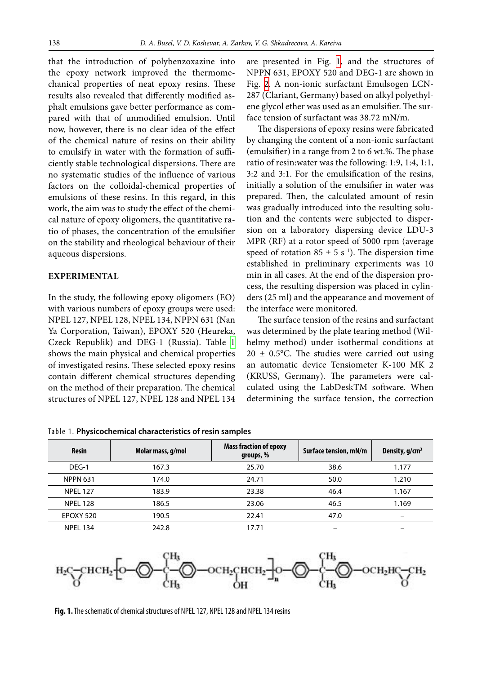that the introduction of polybenzoxazine into the epoxy network improved the thermomechanical properties of neat epoxy resins. These results also revealed that differently modified asphalt emulsions gave better performance as compared with that of unmodified emulsion. Until now, however, there is no clear idea of the effect of the chemical nature of resins on their ability to emulsify in water with the formation of sufficiently stable technological dispersions. There are no systematic studies of the influence of various factors on the colloidal-chemical properties of emulsions of these resins. In this regard, in this work, the aim was to study the effect of the chemical nature of epoxy oligomers, the quantitative ratio of phases, the concentration of the emulsifier on the stability and rheological behaviour of their aqueous dispersions.

#### **EXPERIMENTAL**

In the study, the following epoxy oligomers (EO) with various numbers of epoxy groups were used: NPEL 127, NPEL 128, NPEL 134, NPPN 631 (Nan Ya Corporation, Taiwan), EPOXY 520 (Heureka, Czeck Republik) and DEG-1 (Russia). Table  [1](#page-1-0)  shows the main physical and chemical properties of investigated resins. These selected epoxy resins contain different chemical structures depending on the method of their preparation. The chemical structures of NPEL 127, NPEL 128 and NPEL 134 are presented in Fig.  [1](#page-1-1), and the structures of NPPN 631, EPOXY 520 and DEG-1 are shown in Fig.  [2.](#page-2-0) A non-ionic surfactant Emulsogen LCN-287 (Clariant, Germany) based on alkyl polyethylene glycol ether was used as an emulsifier. The surface tension of surfactant was 38.72 mN/m.

The dispersions of epoxy resins were fabricated by changing the content of a non-ionic surfactant (emulsifier) in a range from 2 to 6 wt.%. The phase ratio of resin:water was the following: 1:9, 1:4, 1:1, 3:2 and 3:1. For the emulsification of the resins, initially a solution of the emulsifier in water was prepared. Then, the calculated amount of resin was gradually introduced into the resulting solution and the contents were subjected to dispersion on a laboratory dispersing device LDU-3 MPR (RF) at a rotor speed of 5000 rpm (average speed of rotation  $85 \pm 5$  s<sup>-1</sup>). The dispersion time established in preliminary experiments was 10 min in all cases. At the end of the dispersion process, the resulting dispersion was placed in cylinders (25 ml) and the appearance and movement of the interface were monitored.

The surface tension of the resins and surfactant was determined by the plate tearing method (Wilhelmy method) under isothermal conditions at  $20 \pm 0.5$ °C. The studies were carried out using an automatic device Tensiometer K-100 MK 2 (KRUSS, Germany). The parameters were calculated using the LabDeskTM software. When determining the surface tension, the correction

| <b>Resin</b>    | Molar mass, g/mol | <b>Mass fraction of epoxy</b><br>groups, % | Surface tension, mN/m | Density, $g/cm3$ |
|-----------------|-------------------|--------------------------------------------|-----------------------|------------------|
| DEG-1           | 167.3             | 25.70                                      | 38.6                  | 1.177            |
| <b>NPPN 631</b> | 174.0             | 24.71                                      | 50.0                  | 1.210            |
| <b>NPEL 127</b> | 183.9             | 23.38                                      | 46.4                  | 1.167            |
| <b>NPEL 128</b> | 186.5             | 23.06                                      | 46.5                  | 1.169            |
| EPOXY 520       | 190.5             | 22.41                                      | 47.0                  |                  |
| <b>NPEL 134</b> | 242.8             | 17.71                                      | -                     |                  |

<span id="page-1-0"></span>Table 1. **Physicochemical characteristics of resin samples**

<span id="page-1-1"></span>

**Fig. 1.** The schematic of chemical structures of NPEL 127, NPEL 128 and NPEL 134 resins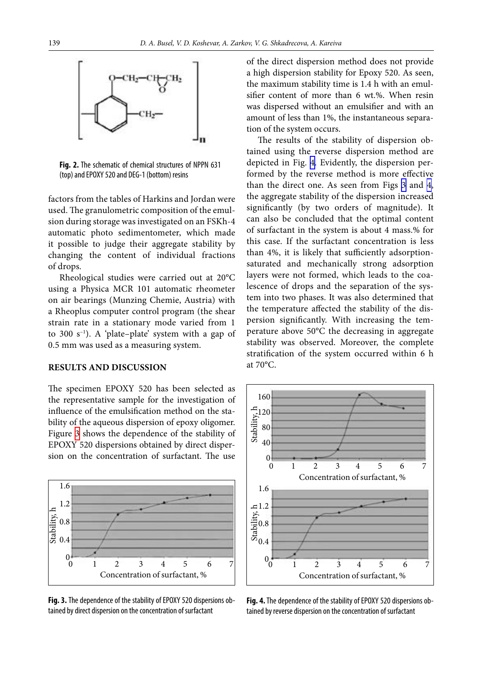<span id="page-2-0"></span>

**Fig. 2.** The schematic of chemical structures of NPPN 631 (top) and EPOXY 520 and DEG-1 (bottom) resins

factors from the tables of Harkins and Jordan were used. The granulometric composition of the emulsion during storage was investigated on an FSKh-4 automatic photo sedimentometer, which made it possible to judge their aggregate stability by changing the content of individual fractions of drops.

Rheological studies were carried out at 20°C using a Physica MCR 101 automatic rheometer on air bearings (Munzing Chemie, Austria) with a Rheoplus computer control program (the shear strain rate in a stationary mode varied from 1 to 300  $s^{-1}$ ). A 'plate-plate' system with a gap of 0.5 mm was used as a measuring system.

#### **RESULTS AND DISCUSSION**

The specimen EPOXY 520 has been selected as the representative sample for the investigation of influence of the emulsification method on the stability of the aqueous dispersion of epoxy oligomer. Figure [3](#page-2-1) shows the dependence of the stability of EPOXY 520 dispersions obtained by direct dispersion on the concentration of surfactant. The use

<span id="page-2-1"></span>

**Fig. 3.** The dependence of the stability of EPOXY 520 dispersions obtained by direct dispersion on the concentration of surfactant

of the direct dispersion method does not provide a high dispersion stability for Epoxy 520. As seen, the maximum stability time is 1.4 h with an emulsifier content of more than 6 wt.%. When resin was dispersed without an emulsifier and with an amount of less than 1%, the instantaneous separation of the system occurs.

The results of the stability of dispersion obtained using the reverse dispersion method are depicted in Fig. [4.](#page-2-2) Evidently, the dispersion performed by the reverse method is more effective than the direct one. As seen from Figs [3](#page-2-1) and [4](#page-2-2), the aggregate stability of the dispersion increased significantly (by two orders of magnitude). It can also be concluded that the optimal content of surfactant in the system is about 4 mass.% for this case. If the surfactant concentration is less than 4%, it is likely that sufficiently adsorptionsaturated and mechanically strong adsorption layers were not formed, which leads to the coalescence of drops and the separation of the system into two phases. It was also determined that the temperature affected the stability of the dispersion significantly. With increasing the temperature above 50°C the decreasing in aggregate stability was observed. Moreover, the complete stratification of the system occurred within 6 h at 70°C.

<span id="page-2-2"></span>

**Fig. 4.** The dependence of the stability of EPOXY 520 dispersions obtained by reverse dispersion on the concentration of surfactant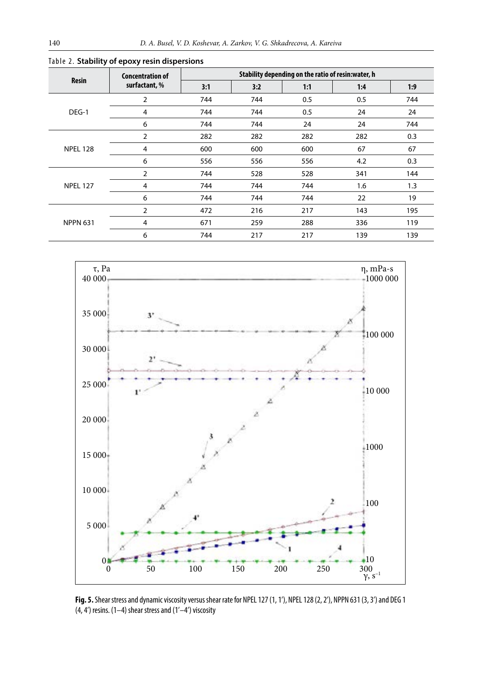| <b>Resin</b>    | <b>Concentration of</b><br>surfactant, % | Stability depending on the ratio of resin: water, h |     |     |     |     |  |
|-----------------|------------------------------------------|-----------------------------------------------------|-----|-----|-----|-----|--|
|                 |                                          | 3:1                                                 | 3:2 | 1:1 | 1:4 | 1:9 |  |
| DEG-1           | 2                                        | 744                                                 | 744 | 0.5 | 0.5 | 744 |  |
|                 | 4                                        | 744                                                 | 744 | 0.5 | 24  | 24  |  |
|                 | 6                                        | 744                                                 | 744 | 24  | 24  | 744 |  |
| <b>NPEL 128</b> | 2                                        | 282                                                 | 282 | 282 | 282 | 0.3 |  |
|                 | 4                                        | 600                                                 | 600 | 600 | 67  | 67  |  |
|                 | 6                                        | 556                                                 | 556 | 556 | 4.2 | 0.3 |  |
| <b>NPEL 127</b> | 2                                        | 744                                                 | 528 | 528 | 341 | 144 |  |
|                 | 4                                        | 744                                                 | 744 | 744 | 1.6 | 1.3 |  |
|                 | 6                                        | 744                                                 | 744 | 744 | 22  | 19  |  |
| <b>NPPN 631</b> | 2                                        | 472                                                 | 216 | 217 | 143 | 195 |  |
|                 | 4                                        | 671                                                 | 259 | 288 | 336 | 119 |  |
|                 | 6                                        | 744                                                 | 217 | 217 | 139 | 139 |  |

<span id="page-3-0"></span>Table 2. **Stability of epoxy resin dispersions**

<span id="page-3-1"></span>

**Fig. 5.** Shear stress and dynamic viscosity versus shear rate for NPEL 127 (1, 1'), NPEL 128 (2, 2'), NPPN 631 (3, 3') and DEG 1  $(4, 4')$  resins.  $(1-4)$  shear stress and  $(1'-4')$  viscosity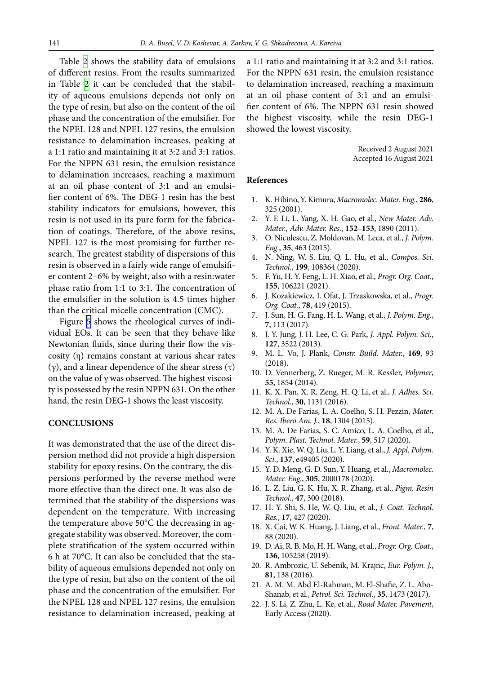Table [2](#page-3-0) shows the stability data of emulsions of different resins. From the results summarized in Table  [2](#page-3-0) it can be concluded that the stability of aqueous emulsions depends not only on the type of resin, but also on the content of the oil phase and the concentration of the emulsifier. For the NPEL 128 and NPEL 127 resins, the emulsion resistance to delamination increases, peaking at a 1:1 ratio and maintaining it at 3:2 and 3:1 ratios. For the NPPN 631 resin, the emulsion resistance to delamination increases, reaching a maximum at an oil phase content of 3:1 and an emulsifier content of 6%. The DEG-1 resin has the best stability indicators for emulsions, however, this resin is not used in its pure form for the fabrication of coatings. Therefore, of the above resins, NPEL 127 is the most promising for further research. The greatest stability of dispersions of this resin is observed in a fairly wide range of emulsifier content 2–6% by weight, also with a resin:water phase ratio from 1:1 to 3:1. The concentration of the emulsifier in the solution is 4.5 times higher than the critical micelle concentration (CMC).

Figure  [5](#page-3-1) shows the rheological curves of individual EOs. It can be seen that they behave like Newtonian fluids, since during their flow the viscosity (η) remains constant at various shear rates (γ), and a linear dependence of the shear stress (τ) on the value of  $γ$  was observed. The highest viscosity is possessed by the resin NPPN 631. On the other hand, the resin DEG-1 shows the least viscosity.

#### **CONCLUSIONS**

It was demonstrated that the use of the direct dispersion method did not provide a high dispersion stability for epoxy resins. On the contrary, the dispersions performed by the reverse method were more effective than the direct one. It was also determined that the stability of the dispersions was dependent on the temperature. With increasing the temperature above 50°C the decreasing in aggregate stability was observed. Moreover, the complete stratification of the system occurred within 6 h at 70°C. It can also be concluded that the stability of aqueous emulsions depended not only on the type of resin, but also on the content of the oil phase and the concentration of the emulsifier. For the NPEL 128 and NPEL 127 resins, the emulsion resistance to delamination increased, peaking at a 1:1 ratio and maintaining it at 3:2 and 3:1 ratios. For the NPPN 631 resin, the emulsion resistance to delamination increased, reaching a maximum at an oil phase content of 3:1 and an emulsifier content of 6%. The NPPN 631 resin showed the highest viscosity, while the resin DEG-1 showed the lowest viscosity.

> Received 2 August 2021 Accepted 16 August 2021

#### <span id="page-4-0"></span>**References**

- 1. K. Hibino, Y. Kimura, *Macromolec. Mater. Eng.*, **286**, 325 (2001).
- 2. Y. F. Li, L. Yang, X. H. Gao, et al., *New Mater. Adv. Mater., Adv. Mater. Res.*, **152–153**, 1890 (2011).
- 3. O. Niculescu, Z. Moldovan, M. Leca, et al., *J. Polym. Eng.*, **35**, 463 (2015).
- 4. N. Ning, W. S. Liu, Q. L. Hu, et al., *Compos. Sci. Technol.*, **199**, 108364 (2020).
- <span id="page-4-1"></span>5. F. Yu, H. Y. Feng, L. H. Xiao, et al., *Progr. Org. Coat.*, **155**, 106221 (2021).
- 6. J. Kozakiewicz, I. Ofat, J. Trzaskowska, et al., *Progr. Org. Coat.*, **78**, 419 (2015).
- 7. J. Sun, H. G. Fang, H. L. Wang, et al., *J. Polym. Eng.*, **7**, 113 (2017).
- 8. J. Y. Jung, J. H. Lee, C. G. Park, *J. Appl. Polym. Sci.*, **127**, 3522 (2013).
- 9. M. L. Vo, J. Plank, *Constr. Build. Mater.*, **169**, 93 (2018).
- <span id="page-4-2"></span>10. D. Vennerberg, Z. Rueger, M. R. Kessler, *Polymer*, **55**, 1854 (2014).
- 11. K. X. Pan, X. R. Zeng, H. Q. Li, et al., *J. Adhes. Sci. Technol.*, **30**, 1131 (2016).
- 12. M. A. De Farias, L. A. Coelho, S. H. Pezzin, *Mater. Res. Ibero Am. J.*, **18**, 1304 (2015).
- 13. M. A. De Farias, S. C. Amico, L. A. Coelho, et al., *Polym. Plast. Technol. Mater.*, **59**, 517 (2020).
- 14. Y. K. Xie, W. Q. Liu, L. Y. Liang, et al., *J. Appl. Polym. Sci.*, **137**, e49405 (2020).
- <span id="page-4-3"></span>15. Y. D. Meng, G. D. Sun, Y. Huang, et al., *Macromolec. Mater. Eng.*, **305**, 2000178 (2020).
- <span id="page-4-4"></span>16. L. Z. Liu, G. K. Hu, X. R. Zhang, et al., *Pigm. Resin Technol.*, **47**, 300 (2018).
- <span id="page-4-5"></span>17. H. Y. Shi, S. He, W. Q. Liu, et al., *J. Coat. Technol. Res.*, **17**, 427 (2020).
- <span id="page-4-6"></span>18. X. Cai, W. K. Huang, J. Liang, et al., *Front. Mater.*, **7**, 88 (2020).
- <span id="page-4-7"></span>19. D. Ai, R. B. Mo, H. H. Wang, et al., *Progr. Org. Coat.*, **136**, 105258 (2019).
- 20. R. Ambrozic, U. Sebenik, M. Krajnc, *Eur. Polym. J.*, **81**, 138 (2016).
- 21. A. M. M. Abd El-Rahman, M. El-Shafie, Z. L. Abo-Shanab, et al., *Petrol. Sci. Technol.*, **35**, 1473 (2017).
- 22. J. S. Li, Z. Zhu, L. Ke, et al., *Road Mater. Pavement*, Early Access (2020).